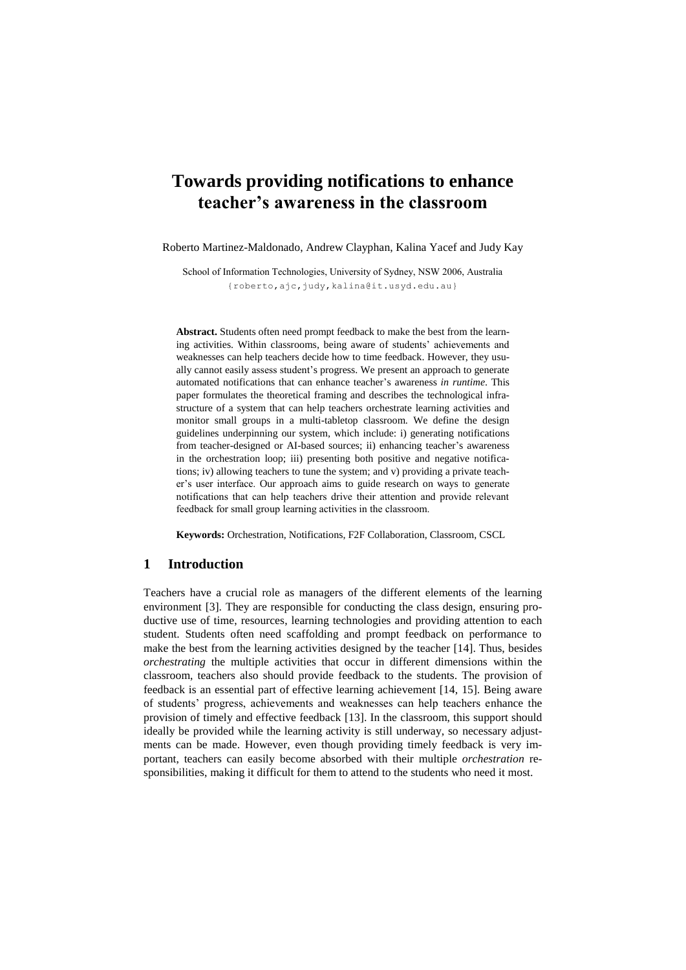# **Towards providing notifications to enhance teacher's awareness in the classroom**

Roberto Martinez-Maldonado, Andrew Clayphan, Kalina Yacef and Judy Kay

School of Information Technologies, University of Sydney, NSW 2006, Australia [{roberto,ajc,judy,kalina@it.usyd.edu.au}](mailto:%7Broberto@it.usyd.edu.au)

**Abstract.** Students often need prompt feedback to make the best from the learning activities. Within classrooms, being aware of students' achievements and weaknesses can help teachers decide how to time feedback. However, they usually cannot easily assess student's progress. We present an approach to generate automated notifications that can enhance teacher's awareness *in runtime*. This paper formulates the theoretical framing and describes the technological infrastructure of a system that can help teachers orchestrate learning activities and monitor small groups in a multi-tabletop classroom. We define the design guidelines underpinning our system, which include: i) generating notifications from teacher-designed or AI-based sources; ii) enhancing teacher's awareness in the orchestration loop; iii) presenting both positive and negative notifications; iv) allowing teachers to tune the system; and v) providing a private teacher's user interface. Our approach aims to guide research on ways to generate notifications that can help teachers drive their attention and provide relevant feedback for small group learning activities in the classroom.

**Keywords:** Orchestration, Notifications, F2F Collaboration, Classroom, CSCL

#### **1 Introduction**

Teachers have a crucial role as managers of the different elements of the learning environment [3]. They are responsible for conducting the class design, ensuring productive use of time, resources, learning technologies and providing attention to each student. Students often need scaffolding and prompt feedback on performance to make the best from the learning activities designed by the teacher [14]. Thus, besides *orchestrating* the multiple activities that occur in different dimensions within the classroom, teachers also should provide feedback to the students. The provision of feedback is an essential part of effective learning achievement [14, 15]. Being aware of students' progress, achievements and weaknesses can help teachers enhance the provision of timely and effective feedback [13]. In the classroom, this support should ideally be provided while the learning activity is still underway, so necessary adjustments can be made. However, even though providing timely feedback is very important, teachers can easily become absorbed with their multiple *orchestration* responsibilities, making it difficult for them to attend to the students who need it most.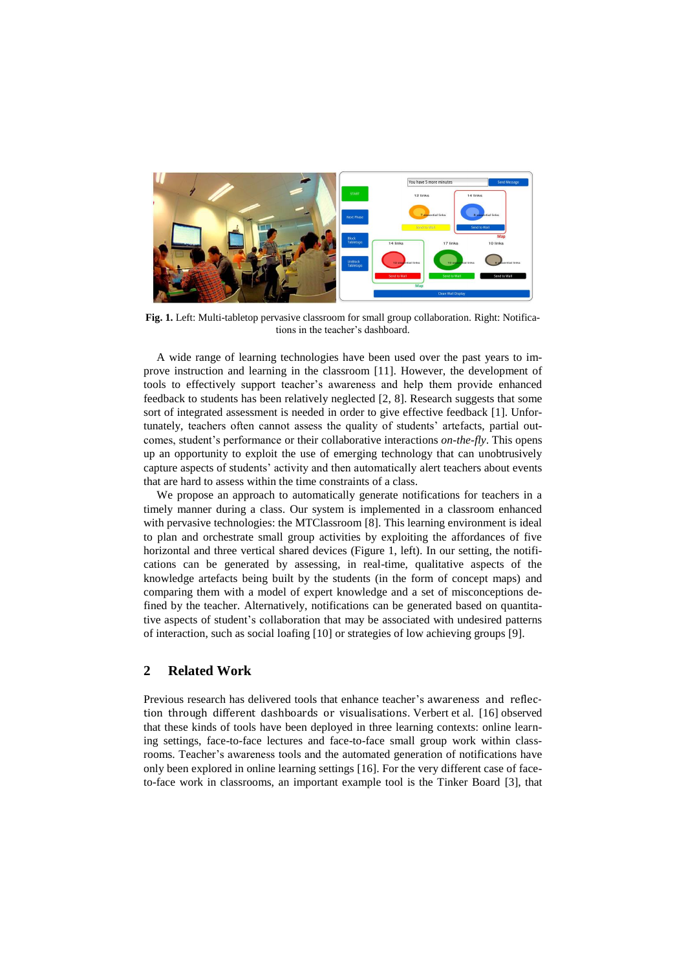

**Fig. 1.** Left: Multi-tabletop pervasive classroom for small group collaboration. Right: Notifications in the teacher's dashboard.

A wide range of learning technologies have been used over the past years to improve instruction and learning in the classroom [11]. However, the development of tools to effectively support teacher's awareness and help them provide enhanced feedback to students has been relatively neglected [2, 8]. Research suggests that some sort of integrated assessment is needed in order to give effective feedback [1]. Unfortunately, teachers often cannot assess the quality of students' artefacts, partial outcomes, student's performance or their collaborative interactions *on-the-fly*. This opens up an opportunity to exploit the use of emerging technology that can unobtrusively capture aspects of students' activity and then automatically alert teachers about events that are hard to assess within the time constraints of a class.

We propose an approach to automatically generate notifications for teachers in a timely manner during a class. Our system is implemented in a classroom enhanced with pervasive technologies: the MTClassroom [8]. This learning environment is ideal to plan and orchestrate small group activities by exploiting the affordances of five horizontal and three vertical shared devices (Figure 1, left). In our setting, the notifications can be generated by assessing, in real-time, qualitative aspects of the knowledge artefacts being built by the students (in the form of concept maps) and comparing them with a model of expert knowledge and a set of misconceptions defined by the teacher. Alternatively, notifications can be generated based on quantitative aspects of student's collaboration that may be associated with undesired patterns of interaction, such as social loafing [10] or strategies of low achieving groups [9].

## **2 Related Work**

Previous research has delivered tools that enhance teacher's awareness and reflection through different dashboards or visualisations. Verbert et al. [16] observed that these kinds of tools have been deployed in three learning contexts: online learning settings, face-to-face lectures and face-to-face small group work within classrooms. Teacher's awareness tools and the automated generation of notifications have only been explored in online learning settings [16]. For the very different case of faceto-face work in classrooms, an important example tool is the Tinker Board [3], that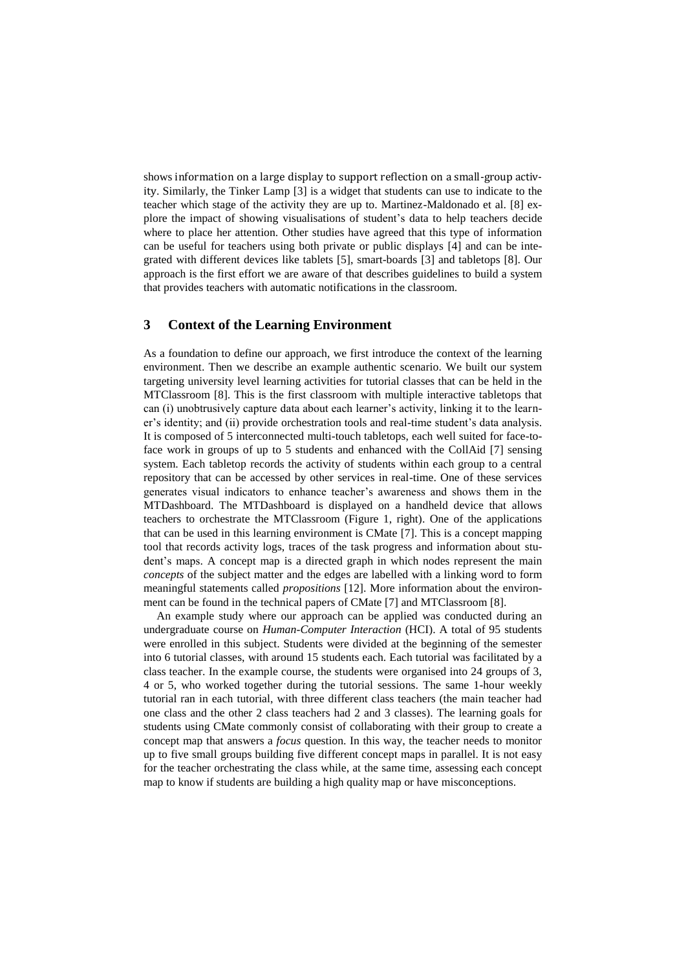shows information on a large display to support reflection on a small-group activity. Similarly, the Tinker Lamp [3] is a widget that students can use to indicate to the teacher which stage of the activity they are up to. Martinez-Maldonado et al. [8] explore the impact of showing visualisations of student's data to help teachers decide where to place her attention. Other studies have agreed that this type of information can be useful for teachers using both private or public displays [4] and can be integrated with different devices like tablets [5], smart-boards [3] and tabletops [8]. Our approach is the first effort we are aware of that describes guidelines to build a system that provides teachers with automatic notifications in the classroom.

#### **3 Context of the Learning Environment**

As a foundation to define our approach, we first introduce the context of the learning environment. Then we describe an example authentic scenario. We built our system targeting university level learning activities for tutorial classes that can be held in the MTClassroom [8]. This is the first classroom with multiple interactive tabletops that can (i) unobtrusively capture data about each learner's activity, linking it to the learner's identity; and (ii) provide orchestration tools and real-time student's data analysis. It is composed of 5 interconnected multi-touch tabletops, each well suited for face-toface work in groups of up to 5 students and enhanced with the CollAid [7] sensing system. Each tabletop records the activity of students within each group to a central repository that can be accessed by other services in real-time. One of these services generates visual indicators to enhance teacher's awareness and shows them in the MTDashboard. The MTDashboard is displayed on a handheld device that allows teachers to orchestrate the MTClassroom (Figure 1, right). One of the applications that can be used in this learning environment is CMate [7]. This is a concept mapping tool that records activity logs, traces of the task progress and information about student's maps. A concept map is a directed graph in which nodes represent the main *concepts* of the subject matter and the edges are labelled with a linking word to form meaningful statements called *propositions* [12]. More information about the environment can be found in the technical papers of CMate [7] and MTClassroom [8].

An example study where our approach can be applied was conducted during an undergraduate course on *Human-Computer Interaction* (HCI). A total of 95 students were enrolled in this subject. Students were divided at the beginning of the semester into 6 tutorial classes, with around 15 students each. Each tutorial was facilitated by a class teacher. In the example course, the students were organised into 24 groups of 3, 4 or 5, who worked together during the tutorial sessions. The same 1-hour weekly tutorial ran in each tutorial, with three different class teachers (the main teacher had one class and the other 2 class teachers had 2 and 3 classes). The learning goals for students using CMate commonly consist of collaborating with their group to create a concept map that answers a *focus* question. In this way, the teacher needs to monitor up to five small groups building five different concept maps in parallel. It is not easy for the teacher orchestrating the class while, at the same time, assessing each concept map to know if students are building a high quality map or have misconceptions.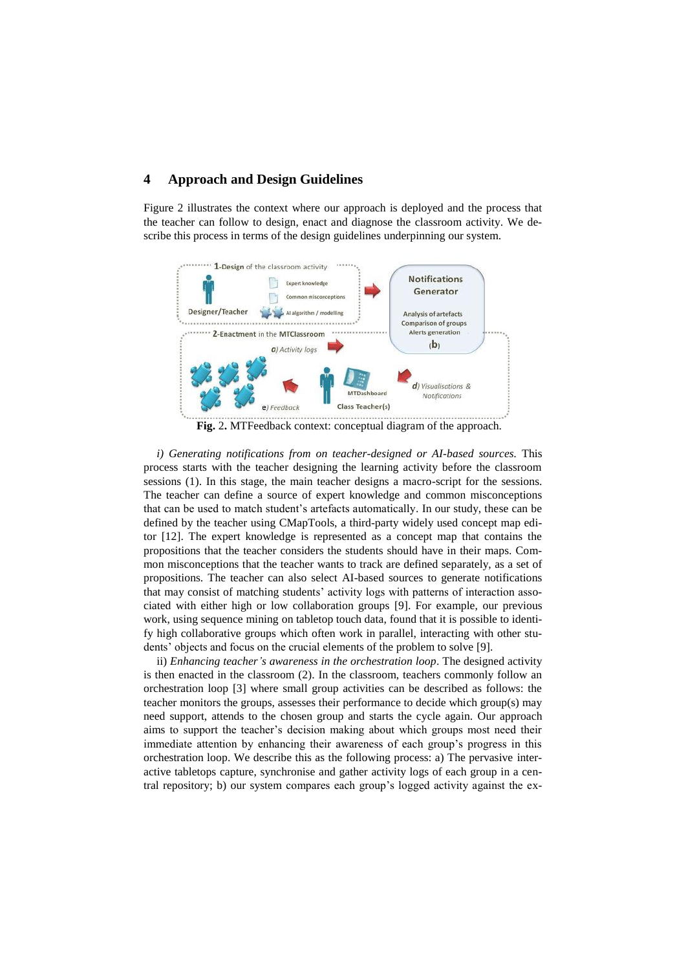### **4 Approach and Design Guidelines**

Figure 2 illustrates the context where our approach is deployed and the process that the teacher can follow to design, enact and diagnose the classroom activity. We describe this process in terms of the design guidelines underpinning our system.



**Fig.** 2**.** MTFeedback context: conceptual diagram of the approach.

*i) Generating notifications from on teacher-designed or AI-based sources.* This process starts with the teacher designing the learning activity before the classroom sessions (1). In this stage, the main teacher designs a macro-script for the sessions. The teacher can define a source of expert knowledge and common misconceptions that can be used to match student's artefacts automatically. In our study, these can be defined by the teacher using CMapTools, a third-party widely used concept map editor [12]. The expert knowledge is represented as a concept map that contains the propositions that the teacher considers the students should have in their maps. Common misconceptions that the teacher wants to track are defined separately, as a set of propositions. The teacher can also select AI-based sources to generate notifications that may consist of matching students' activity logs with patterns of interaction associated with either high or low collaboration groups [9]. For example, our previous work, using sequence mining on tabletop touch data, found that it is possible to identify high collaborative groups which often work in parallel, interacting with other students' objects and focus on the crucial elements of the problem to solve [9].

ii) *Enhancing teacher's awareness in the orchestration loop*. The designed activity is then enacted in the classroom (2). In the classroom, teachers commonly follow an orchestration loop [3] where small group activities can be described as follows: the teacher monitors the groups, assesses their performance to decide which group(s) may need support, attends to the chosen group and starts the cycle again. Our approach aims to support the teacher's decision making about which groups most need their immediate attention by enhancing their awareness of each group's progress in this orchestration loop. We describe this as the following process: a) The pervasive interactive tabletops capture, synchronise and gather activity logs of each group in a central repository; b) our system compares each group's logged activity against the ex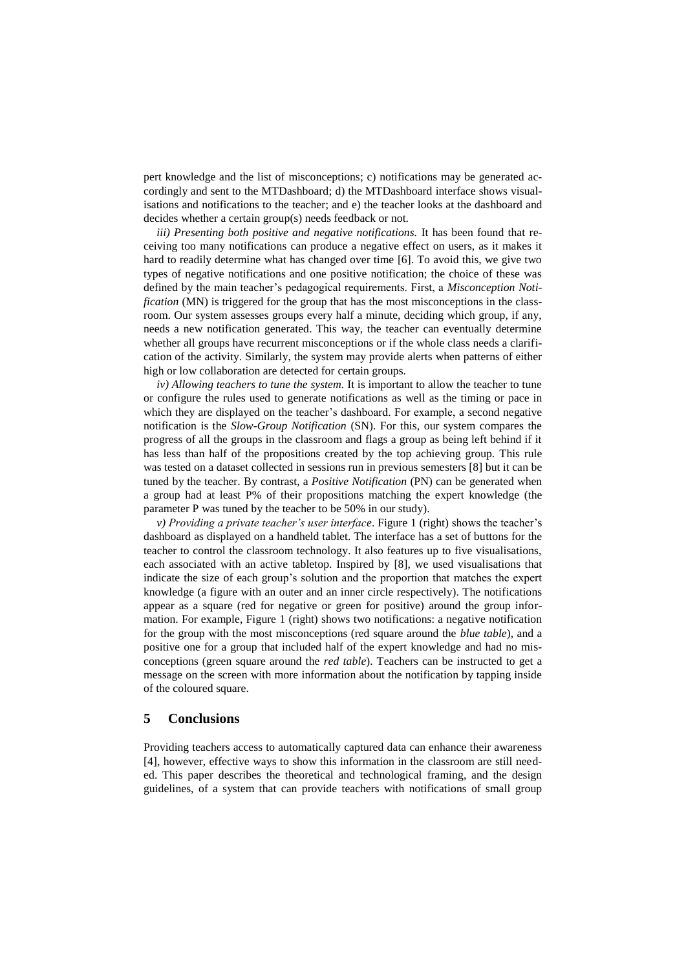pert knowledge and the list of misconceptions; c) notifications may be generated accordingly and sent to the MTDashboard; d) the MTDashboard interface shows visualisations and notifications to the teacher; and e) the teacher looks at the dashboard and decides whether a certain group(s) needs feedback or not.

*iii) Presenting both positive and negative notifications.* It has been found that receiving too many notifications can produce a negative effect on users, as it makes it hard to readily determine what has changed over time [6]. To avoid this, we give two types of negative notifications and one positive notification; the choice of these was defined by the main teacher's pedagogical requirements. First, a *Misconception Notification* (MN) is triggered for the group that has the most misconceptions in the classroom. Our system assesses groups every half a minute, deciding which group, if any, needs a new notification generated. This way, the teacher can eventually determine whether all groups have recurrent misconceptions or if the whole class needs a clarification of the activity. Similarly, the system may provide alerts when patterns of either high or low collaboration are detected for certain groups.

*iv) Allowing teachers to tune the system.* It is important to allow the teacher to tune or configure the rules used to generate notifications as well as the timing or pace in which they are displayed on the teacher's dashboard. For example, a second negative notification is the *Slow-Group Notification* (SN). For this, our system compares the progress of all the groups in the classroom and flags a group as being left behind if it has less than half of the propositions created by the top achieving group. This rule was tested on a dataset collected in sessions run in previous semesters [8] but it can be tuned by the teacher. By contrast, a *Positive Notification* (PN) can be generated when a group had at least P% of their propositions matching the expert knowledge (the parameter P was tuned by the teacher to be 50% in our study).

*v) Providing a private teacher's user interface*. Figure 1 (right) shows the teacher's dashboard as displayed on a handheld tablet. The interface has a set of buttons for the teacher to control the classroom technology. It also features up to five visualisations, each associated with an active tabletop. Inspired by [8], we used visualisations that indicate the size of each group's solution and the proportion that matches the expert knowledge (a figure with an outer and an inner circle respectively). The notifications appear as a square (red for negative or green for positive) around the group information. For example, Figure 1 (right) shows two notifications: a negative notification for the group with the most misconceptions (red square around the *blue table*), and a positive one for a group that included half of the expert knowledge and had no misconceptions (green square around the *red table*). Teachers can be instructed to get a message on the screen with more information about the notification by tapping inside of the coloured square.

#### **5 Conclusions**

Providing teachers access to automatically captured data can enhance their awareness [4], however, effective ways to show this information in the classroom are still needed. This paper describes the theoretical and technological framing, and the design guidelines, of a system that can provide teachers with notifications of small group